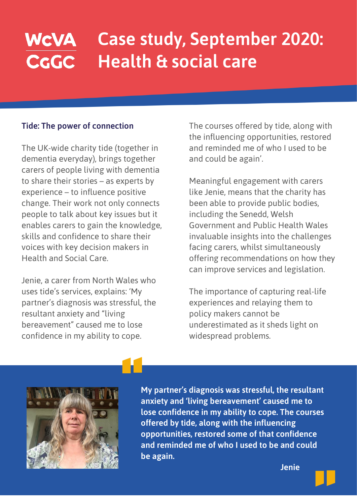## **WCVA**<br>CGGC **Case study, September 2020: Health & social care**

## **Tide: The power of connection**

The UK-wide charity tide (together in dementia everyday), brings together carers of people living with dementia to share their stories – as experts by experience – to influence positive change. Their work not only connects people to talk about key issues but it enables carers to gain the knowledge, skills and confidence to share their voices with key decision makers in Health and Social Care.

Jenie, a carer from North Wales who uses tide's services, explains: 'My partner's diagnosis was stressful, the resultant anxiety and "living bereavement" caused me to lose confidence in my ability to cope.

The courses offered by tide, along with the influencing opportunities, restored and reminded me of who I used to be and could be again'.

Meaningful engagement with carers like Jenie, means that the charity has been able to provide public bodies, including the Senedd, Welsh Government and Public Health Wales invaluable insights into the challenges facing carers, whilst simultaneously offering recommendations on how they can improve services and legislation.

The importance of capturing real-life experiences and relaying them to policy makers cannot be underestimated as it sheds light on widespread problems.



**My partner's diagnosis was stressful, the resultant anxiety and 'living bereavement' caused me to lose confidence in my ability to cope. The courses offered by tide, along with the influencing opportunities, restored some of that confidence and reminded me of who I used to be and could be again.** 

 **Jenie** 

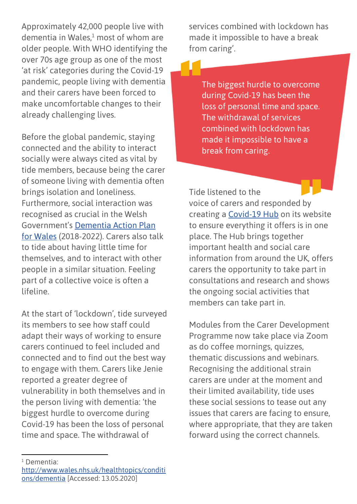Approximately 42,000 people live with dementia in Wales, $1$  most of whom are older people. With WHO identifying the over 70s age group as one of the most 'at risk' categories during the Covid-19 pandemic, people living with dementia and their carers have been forced to make uncomfortable changes to their already challenging lives.

Before the global pandemic, staying connected and the ability to interact socially were always cited as vital by tide members, because being the carer of someone living with dementia often brings isolation and loneliness. Furthermore, social interaction was recognised as crucial in the Welsh Government's [Dementia Action Plan](https://gov.wales/sites/default/files/publications/2019-04/dementia-action-plan-for-wales.pdf)  [for Wales](https://gov.wales/sites/default/files/publications/2019-04/dementia-action-plan-for-wales.pdf) (2018-2022). Carers also talk to tide about having little time for themselves, and to interact with other people in a similar situation. Feeling part of a collective voice is often a lifeline.

At the start of 'lockdown', tide surveyed its members to see how staff could adapt their ways of working to ensure carers continued to feel included and connected and to find out the best way to engage with them. Carers like Jenie reported a greater degree of vulnerability in both themselves and in the person living with dementia: 'the biggest hurdle to overcome during Covid-19 has been the loss of personal time and space. The withdrawal of

The biggest hurdle to overcome during Covid-19 has been the loss of personal time and space. The withdrawal of services combined with lockdown has made it impossible to have a break from caring.

Tide listened to the voice of carers and responded by creating a [Covid-19 Hub](https://www.tide.uk.net/activities/) on its website to ensure everything it offers is in one place. The Hub brings together important health and social care information from around the UK, offers carers the opportunity to take part in consultations and research and shows the ongoing social activities that members can take part in.

Modules from the Carer Development Programme now take place via Zoom as do coffee mornings, quizzes, thematic discussions and webinars. Recognising the additional strain carers are under at the moment and their limited availability, tide uses these social sessions to tease out any issues that carers are facing to ensure, where appropriate, that they are taken forward using the correct channels.

services combined with lockdown has made it impossible to have a break from caring'.

<sup>&</sup>lt;sup>1</sup> Dementia:

[http://www.wales.nhs.uk/healthtopics/conditi](http://www.wales.nhs.uk/healthtopics/conditions/dementia) [ons/dementia](http://www.wales.nhs.uk/healthtopics/conditions/dementia) [Accessed: 13.05.2020]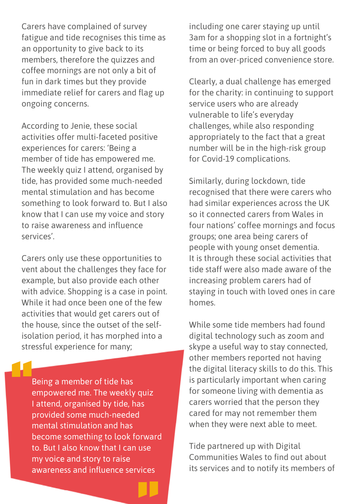Carers have complained of survey fatigue and tide recognises this time as an opportunity to give back to its members, therefore the quizzes and coffee mornings are not only a bit of fun in dark times but they provide immediate relief for carers and flag up ongoing concerns.

According to Jenie, these social activities offer multi-faceted positive experiences for carers: 'Being a member of tide has empowered me. The weekly quiz I attend, organised by tide, has provided some much-needed mental stimulation and has become something to look forward to. But I also know that I can use my voice and story to raise awareness and influence services'.

Carers only use these opportunities to vent about the challenges they face for example, but also provide each other with advice. Shopping is a case in point. While it had once been one of the few activities that would get carers out of the house, since the outset of the selfisolation period, it has morphed into a stressful experience for many;

Being a member of tide has empowered me. The weekly quiz I attend, organised by tide, has provided some much-needed mental stimulation and has become something to look forward to. But I also know that I can use my voice and story to raise awareness and influence services

including one carer staying up until 3am for a shopping slot in a fortnight's time or being forced to buy all goods from an over-priced convenience store.

Clearly, a dual challenge has emerged for the charity: in continuing to support service users who are already vulnerable to life's everyday challenges, while also responding appropriately to the fact that a great number will be in the high-risk group for Covid-19 complications.

Similarly, during lockdown, tide recognised that there were carers who had similar experiences across the UK so it connected carers from Wales in four nations' coffee mornings and focus groups; one area being carers of people with young onset dementia. It is through these social activities that tide staff were also made aware of the increasing problem carers had of staying in touch with loved ones in care homes.

While some tide members had found digital technology such as zoom and skype a useful way to stay connected, other members reported not having the digital literacy skills to do this. This is particularly important when caring for someone living with dementia as carers worried that the person they cared for may not remember them when they were next able to meet.

Tide partnered up with Digital Communities Wales to find out about its services and to notify its members of